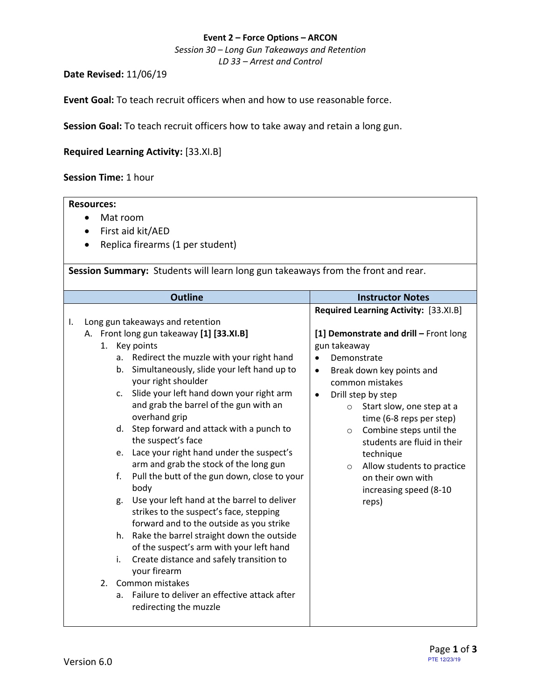## **Event 2 – Force Options – ARCON**

*Session 30 – Long Gun Takeaways and Retention*

*LD 33 – Arrest and Control*

**Date Revised:** 11/06/19

**Event Goal:** To teach recruit officers when and how to use reasonable force.

**Session Goal:** To teach recruit officers how to take away and retain a long gun.

## **Required Learning Activity:** [\[33.XI.B\]](#page-0-0)

**Session Time:** 1 hour

<span id="page-0-0"></span>

| <b>Resources:</b>                                                                                                                        |                                                                   |  |  |  |  |  |  |
|------------------------------------------------------------------------------------------------------------------------------------------|-------------------------------------------------------------------|--|--|--|--|--|--|
| Mat room<br>$\bullet$                                                                                                                    |                                                                   |  |  |  |  |  |  |
| First aid kit/AED                                                                                                                        |                                                                   |  |  |  |  |  |  |
| Replica firearms (1 per student)                                                                                                         |                                                                   |  |  |  |  |  |  |
|                                                                                                                                          |                                                                   |  |  |  |  |  |  |
| Session Summary: Students will learn long gun takeaways from the front and rear.                                                         |                                                                   |  |  |  |  |  |  |
|                                                                                                                                          |                                                                   |  |  |  |  |  |  |
| <b>Outline</b>                                                                                                                           | <b>Instructor Notes</b>                                           |  |  |  |  |  |  |
|                                                                                                                                          | Required Learning Activity: [33.XI.B]                             |  |  |  |  |  |  |
| Long gun takeaways and retention<br>I.                                                                                                   |                                                                   |  |  |  |  |  |  |
| A. Front long gun takeaway [1] [33.XI.B]                                                                                                 | [1] Demonstrate and drill - Front long                            |  |  |  |  |  |  |
| 1. Key points<br>Redirect the muzzle with your right hand                                                                                | gun takeaway                                                      |  |  |  |  |  |  |
| a.<br>b. Simultaneously, slide your left hand up to                                                                                      | Demonstrate<br>$\bullet$                                          |  |  |  |  |  |  |
| your right shoulder                                                                                                                      | Break down key points and<br>$\bullet$<br>common mistakes         |  |  |  |  |  |  |
| Slide your left hand down your right arm<br>$\mathsf{C}$ .                                                                               | Drill step by step<br>$\bullet$                                   |  |  |  |  |  |  |
| and grab the barrel of the gun with an<br>overhand grip                                                                                  | $\circ$ Start slow, one step at a<br>time (6-8 reps per step)     |  |  |  |  |  |  |
| d. Step forward and attack with a punch to<br>the suspect's face                                                                         | Combine steps until the<br>$\circ$<br>students are fluid in their |  |  |  |  |  |  |
| Lace your right hand under the suspect's<br>e.                                                                                           | technique                                                         |  |  |  |  |  |  |
| arm and grab the stock of the long gun                                                                                                   | Allow students to practice<br>$\circ$                             |  |  |  |  |  |  |
| Pull the butt of the gun down, close to your<br>f.<br>body                                                                               | on their own with<br>increasing speed (8-10                       |  |  |  |  |  |  |
| Use your left hand at the barrel to deliver<br>g.<br>strikes to the suspect's face, stepping<br>forward and to the outside as you strike | reps)                                                             |  |  |  |  |  |  |
| h. Rake the barrel straight down the outside                                                                                             |                                                                   |  |  |  |  |  |  |
| of the suspect's arm with your left hand<br>Create distance and safely transition to<br>i.                                               |                                                                   |  |  |  |  |  |  |
| your firearm                                                                                                                             |                                                                   |  |  |  |  |  |  |
| 2. Common mistakes                                                                                                                       |                                                                   |  |  |  |  |  |  |
| Failure to deliver an effective attack after<br>$a_{1}$                                                                                  |                                                                   |  |  |  |  |  |  |
| redirecting the muzzle                                                                                                                   |                                                                   |  |  |  |  |  |  |
|                                                                                                                                          |                                                                   |  |  |  |  |  |  |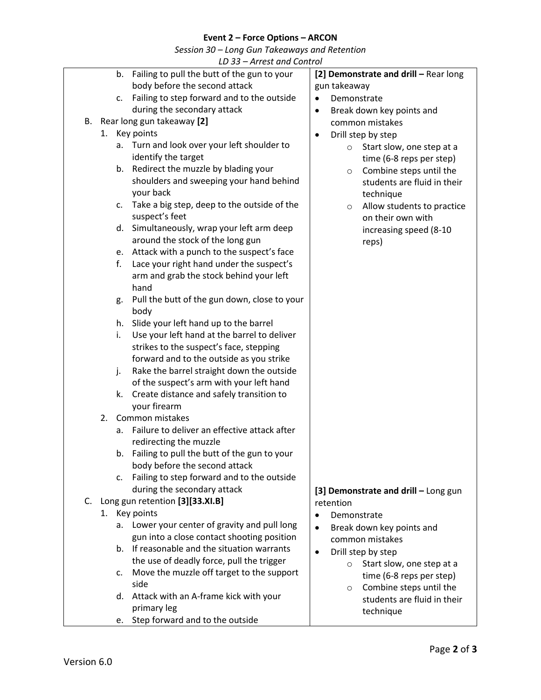## **Event 2 – Force Options – ARCON**

*Session 30 – Long Gun Takeaways and Retention*

| LD 33 – Arrest and Control |  |
|----------------------------|--|
|                            |  |

|    |    | LD 33 – AITEST QUIL CONTUOI                                     |                                        |
|----|----|-----------------------------------------------------------------|----------------------------------------|
|    |    | b. Failing to pull the butt of the gun to your                  | [2] Demonstrate and drill - Rear long  |
|    |    | body before the second attack                                   | gun takeaway                           |
|    | C. | Failing to step forward and to the outside                      | Demonstrate<br>$\bullet$               |
|    |    | during the secondary attack                                     | Break down key points and<br>$\bullet$ |
| В. |    | Rear long gun takeaway [2]                                      | common mistakes                        |
|    |    | 1. Key points                                                   | Drill step by step<br>$\bullet$        |
|    |    | Turn and look over your left shoulder to<br>а.                  | Start slow, one step at a<br>$\circ$   |
|    |    | identify the target                                             | time (6-8 reps per step)               |
|    | b. | Redirect the muzzle by blading your                             | Combine steps until the<br>$\circ$     |
|    |    | shoulders and sweeping your hand behind                         | students are fluid in their            |
|    |    | your back                                                       | technique                              |
|    | c. | Take a big step, deep to the outside of the                     | Allow students to practice             |
|    |    | suspect's feet                                                  | $\circ$<br>on their own with           |
|    | d. | Simultaneously, wrap your left arm deep                         |                                        |
|    |    | around the stock of the long gun                                | increasing speed (8-10                 |
|    | e. | Attack with a punch to the suspect's face                       | reps)                                  |
|    | f. | Lace your right hand under the suspect's                        |                                        |
|    |    | arm and grab the stock behind your left                         |                                        |
|    |    | hand                                                            |                                        |
|    |    | Pull the butt of the gun down, close to your                    |                                        |
|    | g. | body                                                            |                                        |
|    | h. | Slide your left hand up to the barrel                           |                                        |
|    | i. | Use your left hand at the barrel to deliver                     |                                        |
|    |    |                                                                 |                                        |
|    |    | strikes to the suspect's face, stepping                         |                                        |
|    |    | forward and to the outside as you strike                        |                                        |
|    | j. | Rake the barrel straight down the outside                       |                                        |
|    |    | of the suspect's arm with your left hand                        |                                        |
|    | k. | Create distance and safely transition to                        |                                        |
|    |    | your firearm                                                    |                                        |
|    | 2. | Common mistakes<br>Failure to deliver an effective attack after |                                        |
|    | a. |                                                                 |                                        |
|    |    | redirecting the muzzle                                          |                                        |
|    |    | b. Failing to pull the butt of the gun to your                  |                                        |
|    |    | body before the second attack                                   |                                        |
|    | c. | Failing to step forward and to the outside                      |                                        |
|    |    | during the secondary attack                                     | [3] Demonstrate and drill - Long gun   |
| C. |    | Long gun retention [3][33.XI.B]                                 | retention                              |
|    |    | 1. Key points                                                   | Demonstrate<br>$\bullet$               |
|    | а. | Lower your center of gravity and pull long                      | Break down key points and<br>$\bullet$ |
|    |    | gun into a close contact shooting position                      | common mistakes                        |
|    |    | b. If reasonable and the situation warrants                     | Drill step by step<br>$\bullet$        |
|    |    | the use of deadly force, pull the trigger                       | Start slow, one step at a<br>$\circ$   |
|    | c. | Move the muzzle off target to the support                       | time (6-8 reps per step)               |
|    |    | side                                                            | Combine steps until the<br>O           |
|    | d. | Attack with an A-frame kick with your                           | students are fluid in their            |
|    |    | primary leg                                                     | technique                              |
|    |    | Step forward and to the outside<br>e.                           |                                        |